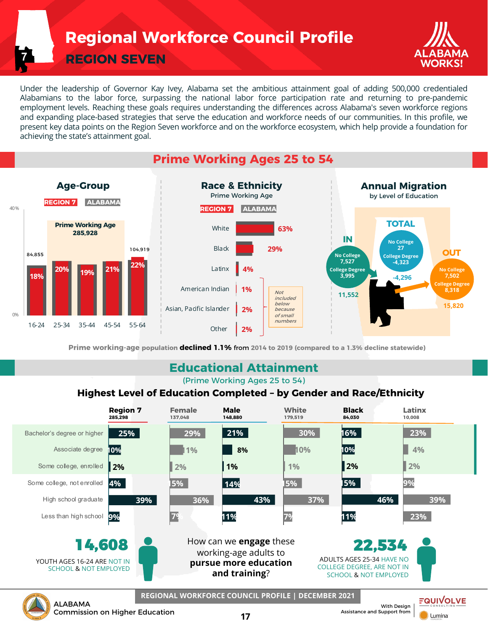# **Regional Workforce Council Profile**

**REGION SEVEN**

**7**



**Lumina** 

Under the leadership of Governor Kay Ivey, Alabama set the ambitious attainment goal of adding 500,000 credentialed Alabamians to the labor force, surpassing the national labor force participation rate and returning to pre-pandemic employment levels. Reaching these goals requires understanding the differences across Alabama's seven workforce regions and expanding place-based strategies that serve the education and workforce needs of our communities. In this profile, we present key data points on the Region Seven workforce and on the workforce ecosystem, which help provide a foundation for achieving the state's attainment goal.

### **Prime Working Ages 25 to 54**



**Prime working-age population declined 1.1%** from **2014 to 2019 (compared to a 1.3% decline statewide)**

### **Educational Attainment**

(Prime Working Ages 25 to 54)

#### **Highest Level of Education Completed – by Gender and Race/Ethnicity**